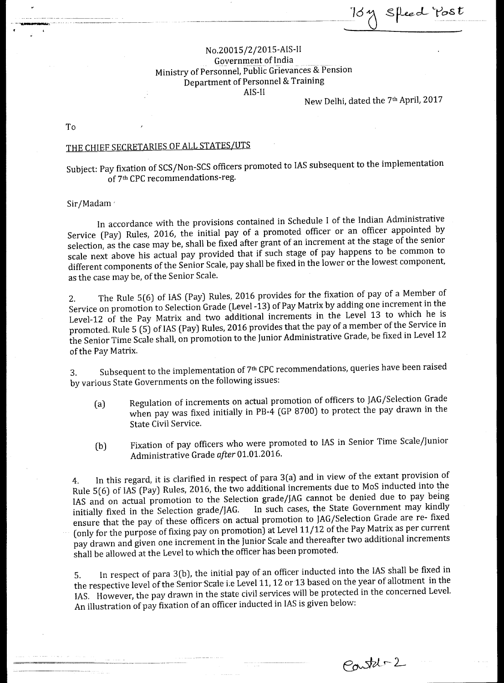$s$ fleed  $\frac{y}{s}$ 

Ministry of Personnel, Public Grievances & Pension Department of Personnel & Training No.20015/2/2015-AIS-II Government of India AIS-II

New Delhi, dated the 7th April, 2017

To

## THE CHIEF SECRETARIES OF ALL STATES/UTS

Subject: Pay fixation of SCS/Non-SCS officers promoted to IAS subsequent to the implementation of 7<sup>th</sup> CPC recommendations-reg.

Sir/Madam<sup>2</sup>

Service (Pay) Rules, 2016, the initial pay of a promoted officer or an officer appointed by selection, as the case may be, shall be fixed after grant of an increment at the stage of the senior scale next above his actual pay provided that if such stage of pay happens to be common to different components of the Senior Scale, pay shall be fixed in the lower or the lowest component, as the case may be, of the Senior Scale. In accordance with the provisions contained in Schedule I of the Indian Administrative

2. The Rule 5(6) of IAS (Pay) Rules, 2016 provides for the fixation of pay of a Member of Service on promotion to Selection Grade (Level -13) of Pay Matrix by adding one increment in the promoted. Rule 5 (5) of IAS (Pay) Rules, 2016 provides that the pay of a member of the Service in the Senior Time Scale shall, on promotion to the Junior Administrative Grade, be fixed in Level 12 Level-12 of the Pay Matrix and two additional increments in the Level 13 to which he is of the Pay Matrix.

by various State Governments on the following issues: 3. Subsequent to the implementation of 7<sup>th</sup> CPC recommendations, queries have been raised

- (a) when pay was fixed initially in PB-4 (GP 8700) to protect the pay drawn in the Regulation of increments on actual promotion of officers to JAG/Selection Grade State Civil Service.
- (b) Administrative Grade *after* 01.01.2016. Fixation of pay officers who were promoted to IAS in Senior Time Scale/Junior

(only for the purpose of fixing pay on promotion) at Level 11/12 of the Pay Matrix as per current 4. In this regard, it is clarified in respect of para 3(a) and in view of the extant provision of Rule 5(6) of IAS (Pay) Rules, 2016, the two additional increments due to MoS inducted into the IAS and on actual promotion to the Selection grade/JAG cannot be denied due to pay being<br>initially fixed in the Selection grade/JAG. In such cases, the State Government may kindly initially fixed in the Selection grade/JAG. In such cases, the State Government may kindly ensure that the pay of these officers on actual promotion to JAG/Selection Grade are re- fixed pay drawn and given one increment in the Junior Scale and thereafter two additional increments shall be allowed at the Level to which the officer has been promoted.

5. In respect of para 3(b), the initial pay of an officer inducted into the HAS shall be fixed in<br>the respective level of the Senior Scale i.e Level 11, 12 or 13 based on the year of allotment in the An illustration of pay fixation of an officer inducted in IAS is given below: IAS. However, the pay drawn in the state civil services will be protected in the concerned Level. In respect of para 3(b), the initial pay of an officer inducted into the IAS shall be fixed in

Contabre 2